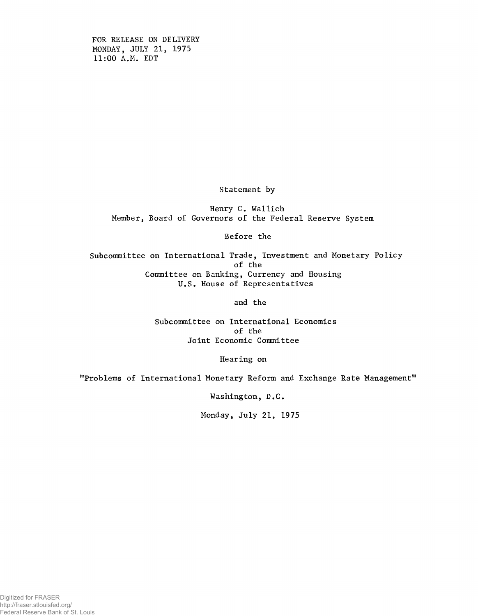FOR RELEASE ON DELIVERY MONDAY, JULY 21, 1975 11:00 A.M. EDT

Statement by

Henry C. Wallich Member, Board of Governors of the Federal Reserve System

Before the

Subcommittee on International Trade, Investment and Monetary Policy of the Committee on Banking, Currency and Housing U.S. House of Representatives

and the

Subcommittee on International Economics of the Joint Economic Committee

Hearing on

"Problems of International Monetary Reform and Exchange Rate Management"

Washington, D.C.

Monday, July 21, 1975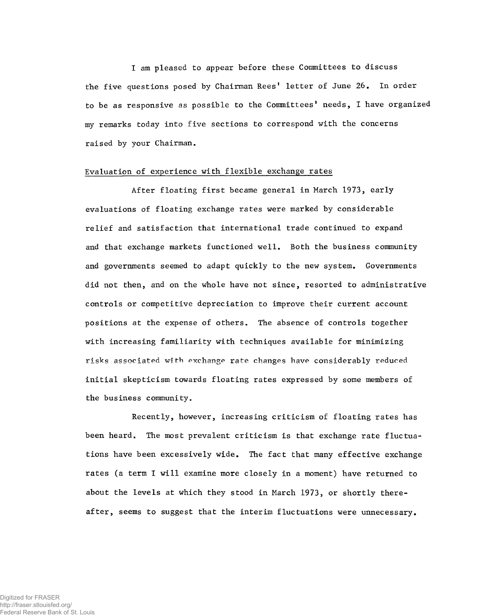I am pleased to appear before these Committees to discuss the five questions posed by Chairman Rees' letter of June 26. In order to be as responsive as possible to the Committees' needs, I have organized my remarks today into five sections to correspond with the concerns raised by your Chairman.

## Evaluation of experience with flexible exchange rates

After floating first became general in March 1973, early evaluations of floating exchange rates were marked by considerable relief and satisfaction that international trade continued to expand and that exchange markets functioned well. Both the business community and governments seemed to adapt quickly to the new system. Governments did not then, and on the whole have not since, resorted to administrative controls or competitive depreciation to improve their current account positions at the expense of others. The absence of controls together with increasing familiarity with techniques available for minimizing risks associated with exchange rate changes have considerably reduced initial skepticism towards floating rates expressed by some members of the business community.

Recently, however, increasing criticism of floating rates has been heard. The most prevalent criticism is that exchange rate fluctuations have been excessively wide. The fact that many effective exchange rates (a term I will examine more closely in a moment) have returned to about the levels at which they stood in March 1973, or shortly thereafter, seems to suggest that the interim fluctuations were unnecessary.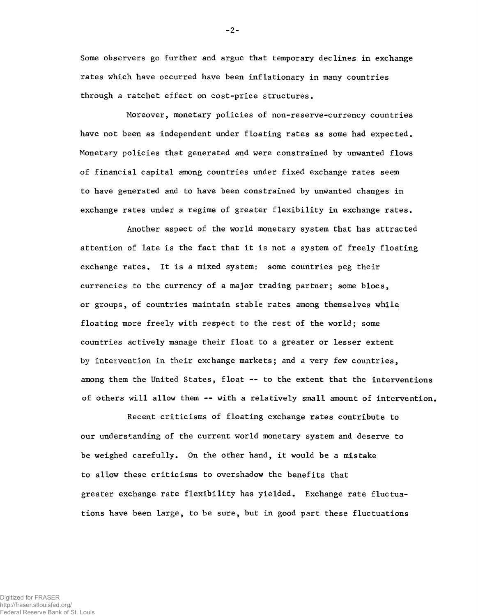Some observers go further and argue that temporary declines in exchange rates which have occurred have been inflationary in many countries through a ratchet effect on cost-price structures.

Moreover, monetary policies of non-reserve-currency countries have not been as independent under floating rates as some had expected. Monetary policies that generated and were constrained by unwanted flows of financial capital among countries under fixed exchange rates seem to have generated and to have been constrained by unwanted changes in exchange rates under a regime of greater flexibility in exchange rates.

Another aspect of the world monetary system that has attracted attention of late is the fact that it is not a system of freely floating exchange rates. It is a mixed system: some countries peg their currencies to the currency of a major trading partner; some blocs, or groups, of countries maintain stable rates among themselves while floating more freely with respect to the rest of the world; some countries actively manage their float to a greater or lesser extent by intervention in their exchange markets; and a very few countries, among them the United States, float -- to the extent that the interventions of others will allow them — with a relatively small amount of intervention.

Recent criticisms of floating exchange rates contribute to our understanding of the current world monetary system and deserve to be weighed carefully. On the other hand, it would be a mistake to allow these criticisms to overshadow the benefits that greater exchange rate flexibility has yielded. Exchange rate fluctuations have been large, to be sure, but in good part these fluctuations

-2-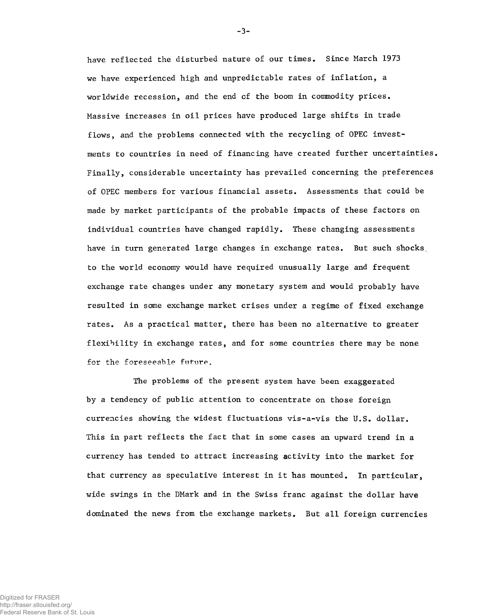have reflected the disturbed nature of our times. Since March 1973 we have experienced high and unpredictable rates of inflation, a worldwide recession, and the end of the boom in commodity prices. Massive increases in oil prices have produced large shifts in trade flows, and the problems connected with the recycling of OPEC investments to countries in need of financing have created further uncertainties. Finally, considerable uncertainty has prevailed concerning the preferences of OPEC members for various financial assets. Assessments that could be made by market participants of the probable impacts of these factors on individual countries have changed rapidly. These changing assessments have in turn generated large changes in exchange rates. But such shocks, to the world economy would have required unusually large and frequent exchange rate changes under any monetary system and would probably have resulted in some exchange market crises under a regime of fixed exchange rates. As a practical matter, there has been no alternative to greater flexibility in exchange rates, and for some countries there may be none for the foreseeable future.

The problems of the present system have been exaggerated by a tendency of public attention to concentrate on those foreign currencies showing the widest fluctuations vis-a-vis the U.S. dollar. This in part reflects the fact that in some cases an upward trend in a currency has tended to attract increasing activity into the market for that currency as speculative interest in it has mounted. In particular, wide swings in the DMark and in the Swiss franc against the dollar have dominated the news from the exchange markets. But all foreign currencies

-3-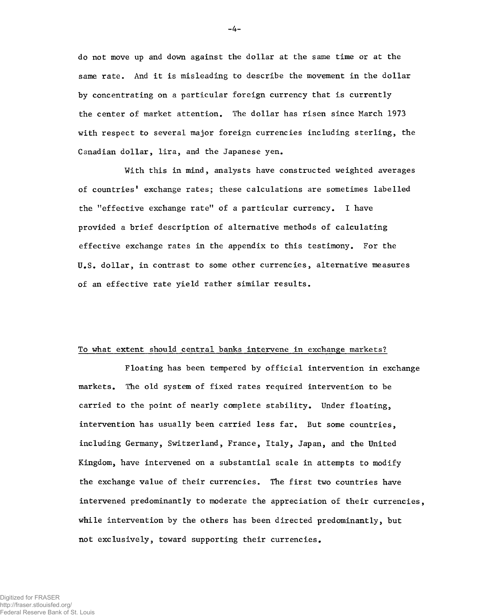do not move up and down against the dollar at the same time or at the same rate. And it is misleading to describe the movement in the dollar by concentrating on a particular foreign currency that is currently the center of market attention. The dollar has risen since March 1973 with respect to several major foreign currencies including sterling, the Canadian dollar, lira, and the Japanese yen.

With this in mind, analysts have constructed weighted averages of countries' exchange rates; these calculations are sometimes labelled the "effective exchange rate" of a particular currency. I have provided a brief description of alternative methods of calculating effective exchange rates in the appendix to this testimony. For the U.S. dollar, in contrast to some other currencies, alternative measures of an effective rate yield rather similar results.

## To what extent should central banks intervene in exchange markets?

Floating has been tempered by official intervention in exchange markets. The old system of fixed rates required intervention to be carried to the point of nearly complete stability. Under floating, intervention has usually been carried less far. But some countries, including Germany, Switzerland, France, Italy, Japan, and the United Kingdom, have intervened on a substantial scale in attempts to modify the exchange value of their currencies. The first two countries have intervened predominantly to moderate the appreciation of their currencies, while intervention by the others has been directed predominantly, but not exclusively, toward supporting their currencies.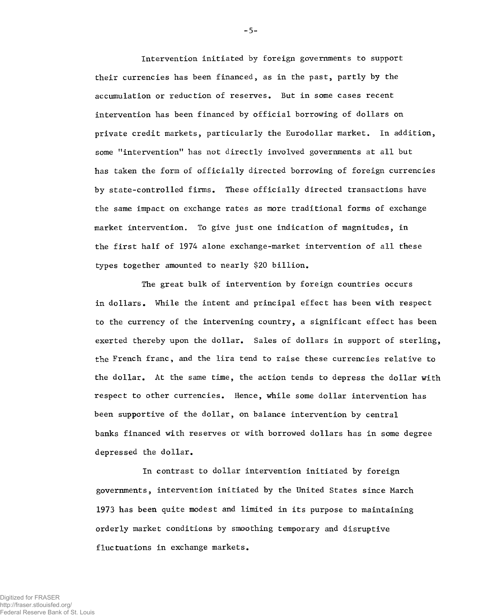Intervention initiated by foreign governments to support their currencies has been financed, as in the past, partly by the accumulation or reduction of reserves. But in some cases recent intervention has been financed by official borrowing of dollars on private credit markets, particularly the Eurodollar market. In addition, some "intervention" has not directly involved governments at all but has taken the form of officially directed borrowing of foreign currencies by state-controlled firms. These officially directed transactions have the same impact on exchange rates as more traditional forms of exchange market intervention. To give just one indication of magnitudes, in the first half of 1974 alone exchange-market intervention of all these types together amounted to nearly \$20 billion.

The great bulk of intervention by foreign countries occurs in dollars. While the intent and principal effect has been with respect to the currency of the intervening country, a significant effect has been exerted thereby upon the dollar. Sales of dollars in support of sterling, the French franc, and the lira tend to raise these currencies relative to the dollar. At the same time, the action tends to depress the dollar with respect to other currencies. Hence, while some dollar intervention has been supportive of the dollar, on balance intervention by central banks financed with reserves or with borrowed dollars has in some degree depressed the dollar.

In contrast to dollar intervention initiated by foreign governments, intervention initiated by the United States since March 1973 has been quite modest and limited in its purpose to maintaining orderly market conditions by smoothing temporary and disruptive fluctuations in exchange markets.

-5-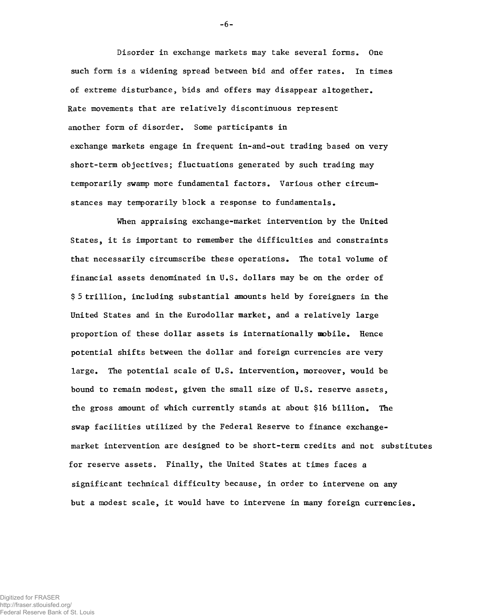Disorder in exchange markets may take several forms. One such form is a widening spread between bid and offer rates. In times of extreme disturbance, bids and offers may disappear altogether. Rate movements that are relatively discontinuous represent another form of disorder. Some participants in exchange markets engage in frequent in-and-out trading based on very short-term objectives; fluctuations generated by such trading may temporarily swamp more fundamental factors. Various other circumstances may temporarily block a response to fundamentals.

When appraising exchange-market intervention by the United States, it is important to remember the difficulties and constraints that necessarily circumscribe these operations. The total volume of financial assets denominated in U.S. dollars may be on the order of \$ 5 trillion, including substantial amounts held by foreigners in the United States and in the Eurodollar market, and a relatively large proportion of these dollar assets is internationally mobile. Hence potential shifts between the dollar and foreign currencies are very large. The potential scale of U.S. intervention, moreover, would be bound to remain modest, given the small size of U.S. reserve assets, the gross amount of which currently stands at about \$16 billion. The swap facilities utilized by the Federal Reserve to finance exchangemarket intervention are designed to be short-term credits and not substitutes for reserve assets. Finally, the United States at times faces a significant technical difficulty because, in order to intervene on any but a modest scale, it would have to intervene in many foreign currencies.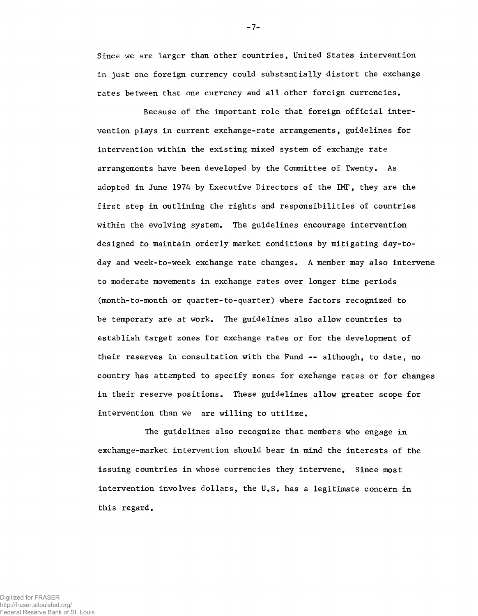Since we are larger than other countries, United States intervention in just one foreign currency could substantially distort the exchange rates between that one currency and all other foreign currencies.

Because of the important role that foreign official intervention plays in current exchange-rate arrangements, guidelines for intervention within the existing mixed system of exchange rate arrangements have been developed by the Committee of Twenty, As adopted in June 1974 by Executive Directors of the IMF, they are the first step in outlining the rights and responsibilities of countries within the evolving system. The guidelines encourage intervention designed to maintain orderly market conditions by mitigating day-today and week-to-week exchange rate changes, A member may also intervene to moderate movements in exchange rates over longer time periods (month-to-month or quarter-to-quarter) where factors recognized to be temporary are at work. The guidelines also allow countries to establish target zones for exchange rates or for the development of their reserves in consultation with the Fund -- although, to date, no country has attempted to specify zones for exchange rates or for changes in their reserve positions. These guidelines allow greater scope for intervention than we are willing to utilize.

The guidelines also recognize that members who engage in exchange-market intervention should bear in mind the interests of the issuing countries in whose currencies they intervene. Since most intervention involves dollars, the U.S, has a legitimate concern in this regard.

-7-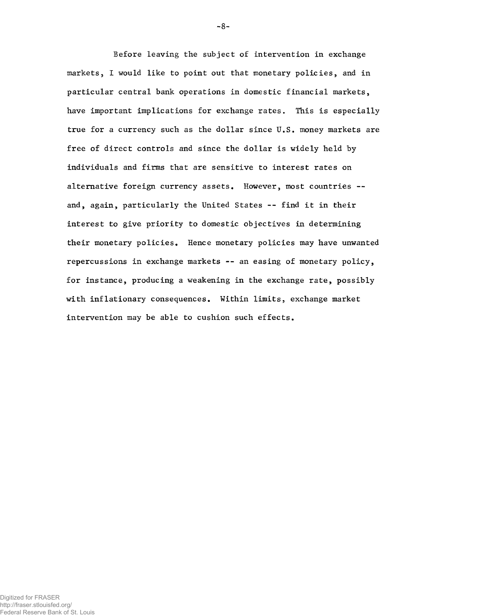Before leaving the subject of intervention in exchange markets, I would like to point out that monetary policies, and in particular central bank operations in domestic financial markets, have important implications for exchange rates. This is especially true for a currency such as the dollar since U.S. money markets are free of direct controls and since the dollar is widely held by individuals and firms that are sensitive to interest rates on alternative foreign currency assets. However, most countries -and, again, particularly the United States -- find it in their interest to give priority to domestic objectives in determining their monetary policies. Hence monetary policies may have unwanted repercussions in exchange markets -- an easing of monetary policy, for instance, producing a weakening in the exchange rate, possibly with inflationary consequences. Within limits, exchange market intervention may be able to cushion such effects.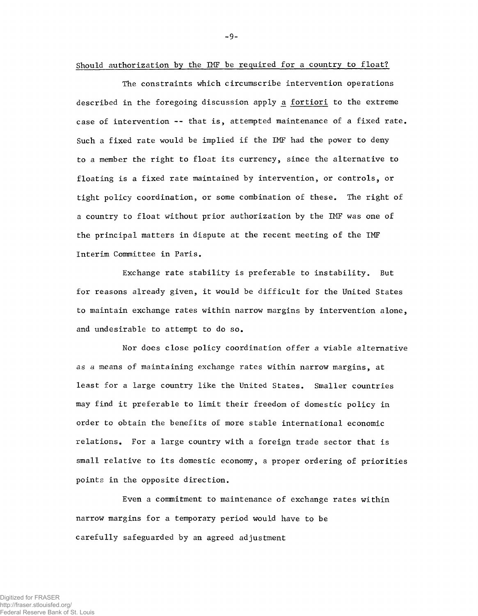Should authorization by the IMF be required for a country to float?

The constraints which circumscribe intervention operations described in the foregoing discussion apply a fortiori to the extreme case of intervention -- that is, attempted maintenance of a fixed rate. Such a fixed rate would be implied if the IMF had the power to deny to a member the right to float its currency, since the alternative to floating is a fixed rate maintained by intervention, or controls, or tight policy coordination, or some combination of these. The right of a country to float without prior authorization by the IMF was one of the principal matters in dispute at the recent meeting of the IMF Interim Committee in Paris.

Exchange rate stability is preferable to instability. But for reasons already given, it would be difficult for the United States to maintain exchange rates within narrow margins by intervention alone, and undesirable to attempt to do so.

Nor does close policy coordination offer a viable alternative as a means of maintaining exchange rates within narrow margins, at least for a large country like the United States. Smaller countries may find it preferable to limit their freedom of domestic policy in order to obtain the benefits of more stable international economic relations. For a large country with a foreign trade sector that is small relative to its domestic economy, a proper ordering of priorities points in the opposite direction.

Even a commitment to maintenance of exchange rates within narrow margins for a temporary period would have to be carefully safeguarded by an agreed adjustment

-9-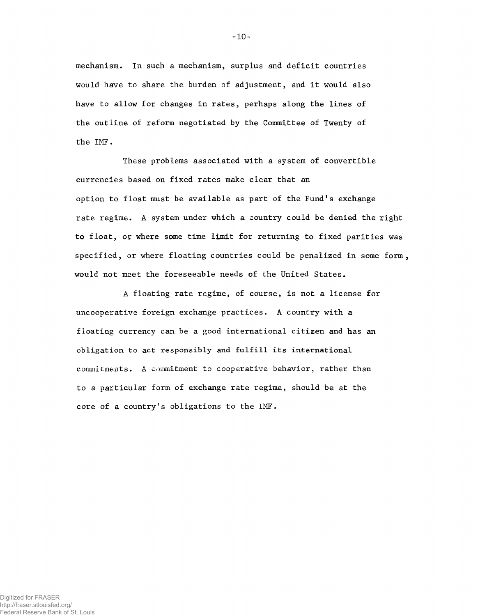mechanism. In such a mechanism, surplus and deficit countries would have to share the burden of adjustment, and it would also have to allow for changes in rates, perhaps along the lines of the outline of reform negotiated by the Committee of Twenty of the IMF.

These problems associated with a system of convertible currencies based on fixed rates make clear that an option to float must be available as part of the Fund's exchange rate regime. A system under which a country could be denied the right to float, or where some time limit for returning to fixed parities was specified, or where floating countries could be penalized in some form, would not meet the foreseeable needs of the United States.

A floating rate regime, of course, is not a license for uncooperative foreign exchange practices. A country with a floating currency can be a good international citizen and has an obligation to act responsibly and fulfill its international commitments. A commitment to cooperative behavior, rather than to a particular form of exchange rate regime, should be at the core of a country's obligations to the IMF.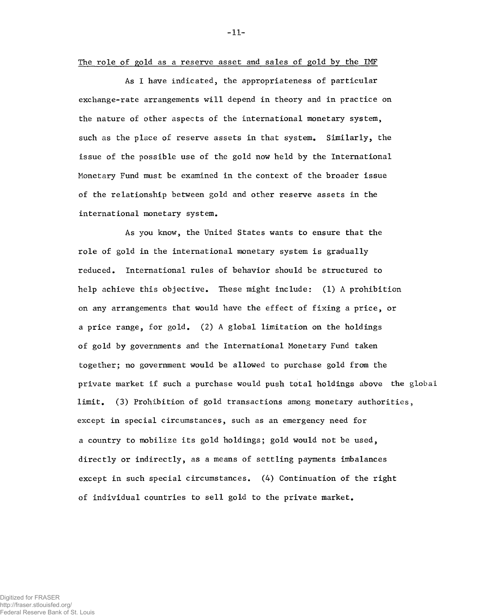The role of gold as a reserve asset and sales of gold by the IMF

As I have indicated, the appropriateness of particular exchange-rate arrangements will depend in theory and in practice on the nature of other aspects of the international monetary system, such as the place of reserve assets in that system. Similarly, the issue of the possible use of the gold now held by the International Monetary Fund must be examined in the context of the broader issue of the relationship between gold and other reserve assets in the international monetary system.

As you know, the United States wants to ensure that the role of gold in the international monetary system is gradually reduced. International rules of behavior should be structured to help achieve this objective. These might include: (1) A prohibition on any arrangements that would have the effect of fixing a price, or a price range, for gold. (2) A global limitation on the holdings of gold by governments and the International Monetary Fund taken together; no government would be allowed to purchase gold from the private market if such a purchase would push total holdings above the global limit. (3) Prohibition of gold transactions among monetary authorities, except in special circumstances, such as an emergency need for a country to mobilize its gold holdings; gold would not be used, directly or indirectly, as a means of settling payments imbalances except in such special circumstances. (4) Continuation of the right of individual countries to sell gold to the private market.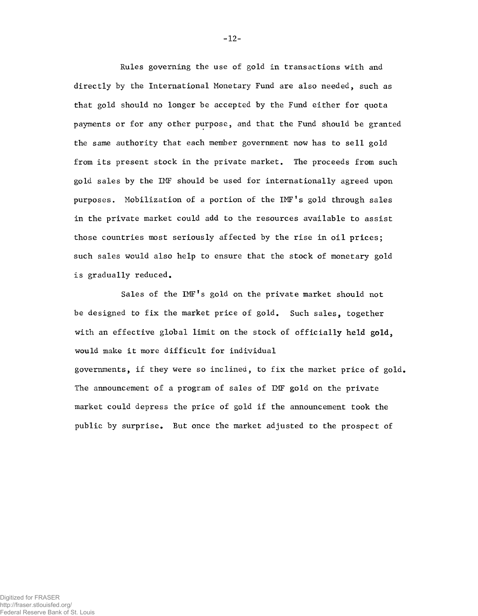Rules governing the use of gold in transactions with and directly by the International Monetary Fund are also needed, such as that gold should no longer be accepted by the Fund either for quota payments or for any other purpose, and that the Fund should be granted the same authority that each member government now has to sell gold from its present stock in the private market. The proceeds from such gold sales by the IMF should be used for internationally agreed upon purposes. Mobilization of a portion of the IMF's gold through sales in the private market could add to the resources available to assist those countries most seriously affected by the rise in oil prices; such sales would also help to ensure that the stock of monetary gold is gradually reduced.

Sales of the IMF's gold on the private market should not be designed to fix the market price of gold. Such sales, together with an effective global limit on the stock of officially held gold, would make it more difficult for individual governments, if they were so inclined, to fix the market price of gold. The announcement of a program of sales of IMF gold on the private market could depress the price of gold if the announcement took the public by surprise. But once the market adjusted to the prospect of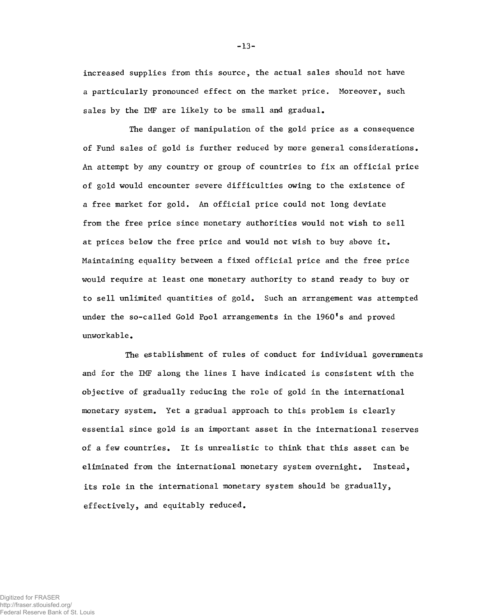The danger of manipulation of the gold price as a consequence of Fund sales of gold is further reduced by more general considerations. An attempt by any country or group of countries to fix an official price of gold would encounter severe difficulties owing to the existence of a free market for gold. An official price could not long deviate from the free price since monetary authorities would not wish to sell at prices below the free price and would not wish to buy above it. Maintaining equality between a fixed official price and the free price would require at least one monetary authority to stand ready to buy or to sell unlimited quantities of gold. Such an arrangement was attempted under the so-called Gold Pool arrangements in the 1960's and proved unworkable.

The establishment of rules of conduct for individual governments and for the IMF along the lines I have indicated is consistent with the objective of gradually reducing the role of gold in the international monetary system. Yet a gradual approach to this problem is clearly essential since gold is an important asset in the international reserves of a few countries. It is unrealistic to think that this asset can be eliminated from the international monetary system overnight. Instead, its role in the international monetary system should be gradually, effectively, and equitably reduced.

increased supplies from this source, the actual sales should not have a particularly pronounced effect on the market price. Moreover, such sales by the IMF are likely to be small and gradual.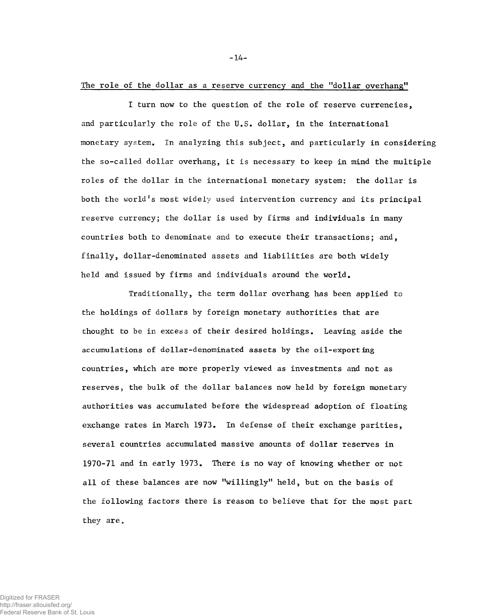The role of the dollar as a reserve currency and the "dollar overhang"

I turn now to the question of the role of reserve currencies, and particularly the role of the U.S. dollar, in the international monetary system. In analyzing this subject, and particularly in considering the so-called dollar overhang, it is necessary to keep in mind the multiple roles of the dollar in the international monetary system: the dollar is both the world's most widely used intervention currency and its principal reserve currency; the dollar is used by firms and individuals in many countries both to denominate and to execute their transactions; and, finally, dollar-denominated assets and liabilities are both widely held and issued by firms and individuals around the world.

Traditionally, the term dollar overhang has been applied to the holdings of dollars by foreign monetary authorities that are thought to be in excess of their desired holdings. Leaving aside the accumulations of dollar-denominated assets by the oil-exporting countries, which are more properly viewed as investments and not as reserves, the bulk of the dollar balances now held by foreign monetary authorities was accumulated before the widespread adoption of floating exchange rates in March 1973. In defense of their exchange parities, several countries accumulated massive amounts of dollar reserves in 1970-71 and in early 1973. There is no way of knowing whether or not all of these balances are now "willingly" held, but on the basis of the following factors there is reason to believe that for the most part they are.

Digitized for FRASER http://fraser.stlouisfed.org/ Federal Reserve Bank of St. Louis -14-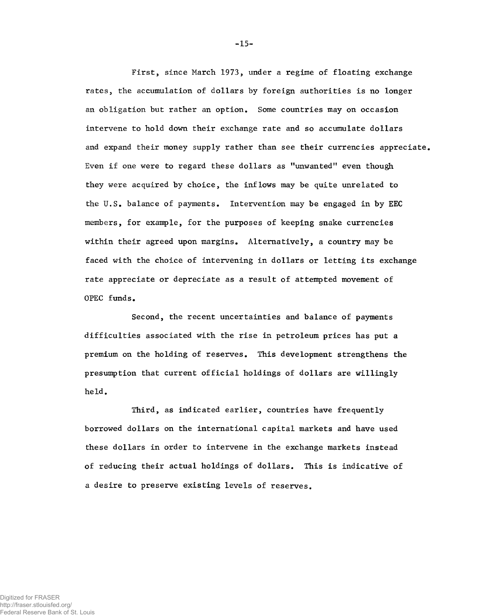First, since March 1973, under a regime of floating exchange rates, the accumulation of dollars by foreign authorities is no longer an obligation but rather an option. Some countries may on occasion intervene to hold down their exchange rate and so accumulate dollars and expand their money supply rather than see their currencies appreciate. Even if one were to regard these dollars as "unwanted" even though they were acquired by choice, the inflows may be quite unrelated to the U.S. balance of payments. Intervention may be engaged in by EEC members, for example, for the purposes of keeping snake currencies within their agreed upon margins. Alternatively, a country may be faced with the choice of intervening in dollars or letting its exchange rate appreciate or depreciate as a result of attempted movement of OPEC funds.

Second, the recent uncertainties and balance of payments difficulties associated with the rise in petroleum prices has put a premium on the holding of reserves. This development strengthens the presumption that current official holdings of dollars are willingly held.

Third, as indicated earlier, countries have frequently borrowed dollars on the international capital markets and have used these dollars in order to intervene in the exchange markets instead of reducing their actual holdings of dollars. This is indicative of a desire to preserve existing levels of reserves.

-15-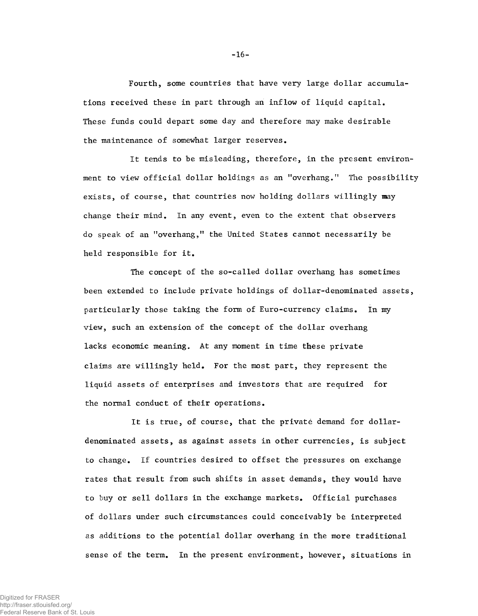Fourth, some countries that have very large dollar accumulations received these in part through an inflow of liquid capital. These funds could depart some day and therefore may make desirable the maintenance of somewhat larger reserves.

It tends to be misleading, therefore, in the present environment to view official dollar holdings as an "overhang." The possibility exists, of course, that countries now holding dollars willingly may change their mind. In any event, even to the extent that observers do speak of an "overhang," the United States cannot necessarily be held responsible for it.

The concept of the so-called dollar overhang has sometimes been extended to include private holdings of dollar-denominated assets, particularly those taking the form of Euro-currency claims. In my view, such an extension of the concept of the dollar overhang lacks economic meaning. At any moment in time these private claims are willingly held. For the most part, they represent the liquid assets of enterprises and investors that are required for the normal conduct of their operations.

It is true, of course, that the private demand for dollardenominated assets, as against assets in other currencies, is subject to change. If countries desired to offset the pressures on exchange rates that result from such shifts in asset demands, they would have to buy or sell dollars in the exchange markets. Official purchases of dollars under such circumstances could conceivably be interpreted as additions to the potential dollar overhang in the more traditional sense of the tern. In the present environment, however, situations in

Digitized for FRASER http://fraser.stlouisfed.org/ Federal Reserve Bank of St. Louis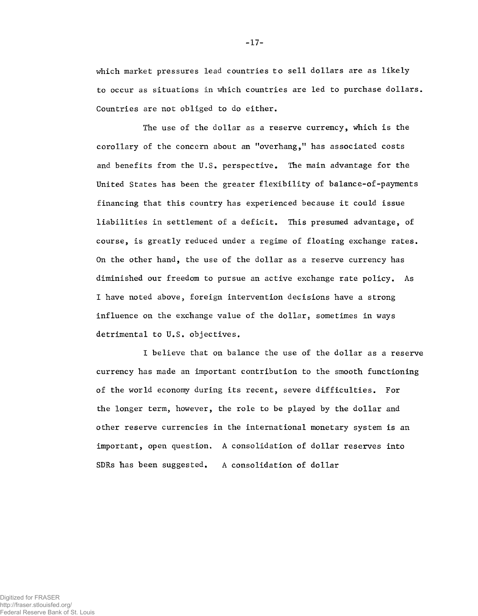which market pressures lead countries to sell dollars are as likely to occur as situations in which countries are led to purchase dollars. Countries are not obliged to do either.

The use of the dollar as a reserve currency, which is the corollary of the concern about an "overhang," has associated costs and benefits from the U.S. perspective. The main advantage for the United States has been the greater flexibility of balance-of-payments financing that this country has experienced because it could issue liabilities in settlement of a deficit. This presumed advantage, of course, is greatly reduced under a regime of floating exchange rates. On the other hand, the use of the dollar as a reserve currency has diminished our freedom to pursue an active exchange rate policy. As I have noted above, foreign intervention decisions have a strong influence on the exchange value of the dollar, sometimes in ways detrimental to U.S. objectives.

I believe that on balance the use of the dollar as a reserve currency has made an important contribution to the smooth functioning of the world economy during its recent, severe difficulties. For the longer term, however, the role to be played by the dollar and other reserve currencies in the international monetary system is an important, open question. A consolidation of dollar reserves into SDRs has been suggested. A consolidation of dollar

-17-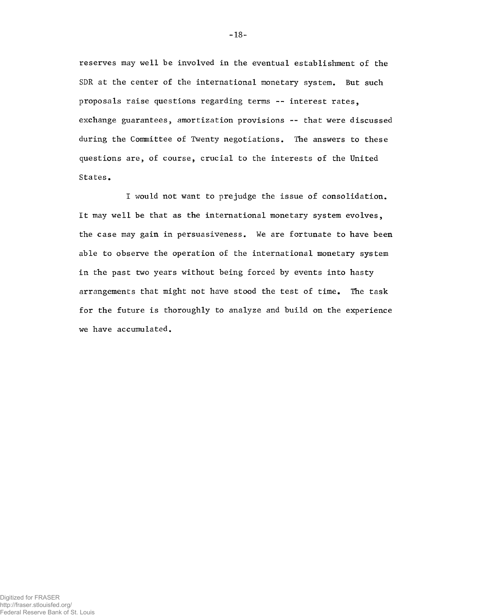reserves may well be involved in the eventual establishment of the SDR at the center of the international monetary system. But such proposals raise questions regarding terms -- interest rates, exchange guarantees, amortization provisions — that were discussed during the Committee of Twenty negotiations. The answers to these questions are, of course, crucial to the interests of the United States.

I would not want to prejudge the issue of consolidation. It may well be that as the international monetary system evolves, the case may gain in persuasiveness. We are fortunate to have been able to observe the operation of the international monetary system in the past two years without being forced by events into hasty arrangements that might not have stood the test of time. The task for the future is thoroughly to analyze and build on the experience we have accumulated.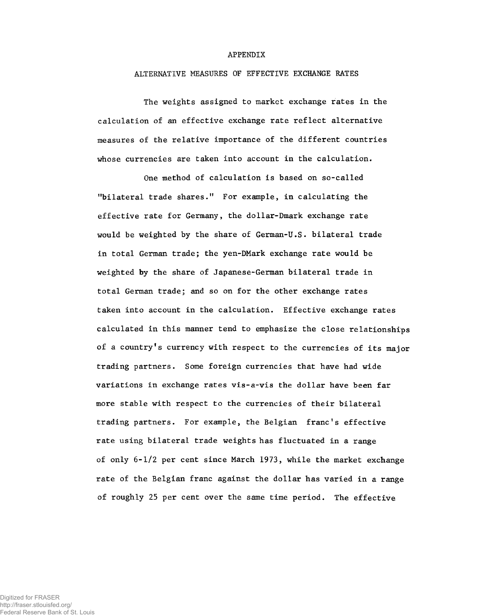## APPENDIX

## ALTERNATIVE MEASURES OF EFFECTIVE EXCHANGE RATES

The weights assigned to market exchange rates in the calculation of an effective exchange rate reflect alternative measures of the relative importance of the different countries whose currencies are taken into account in the calculation.

One method of calculation is based on so-called "bilateral trade shares." For example, in calculating the effective rate for Germany, the dollar-Dmark exchange rate would be weighted by the share of German-U.S. bilateral trade in total German trade; the yen-DMark exchange rate would be weighted by the share of Japanese-German bilateral trade in total German trade; and so on for the other exchange rates taken into account in the calculation. Effective exchange rates calculated in this manner tend to emphasize the close relationships of a country's currency with respect to the currencies of its major trading partners. Some foreign currencies that have had wide variations in exchange rates vis-a-vis the dollar have been far more stable with respect to the currencies of their bilateral trading partners. For example, the Belgian franc's effective rate using bilateral trade weights has fluctuated in a range of only 6-1/2 per cent since March 1973, while the market exchange rate of the Belgian franc against the dollar has varied in a range of roughly 25 per cent over the same time period. The effective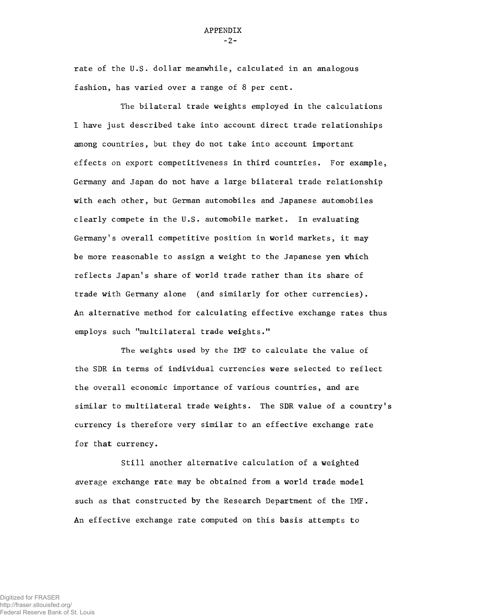rate of the U.S. dollar meanwhile, calculated in an analogous fashion, has varied over a range of 8 per cent.

The bilateral trade weights employed in the calculations I have just described take into account direct trade relationships among countries, but they do not take into account important effects on export competitiveness in third countries. For example, Germany and Japan do not have a large bilateral trade relationship with each other, but German automobiles and Japanese automobiles clearly compete in the U.S. automobile market. In evaluating Germany's overall competitive position in world markets, it may be more reasonable to assign a weight to the Japanese yen which reflects Japan's share of world trade rather than its share of trade with Germany alone (and similarly for other currencies). An alternative method for calculating effective exchange rates thus employs such "multilateral trade weights."

The weights used by the IMF to calculate the value of the SDR in terns of individual currencies were selected to reflect the overall economic importance of various countries, and are similar to multilateral trade weights. The SDR value of a country's currency is therefore very similar to an effective exchange rate for that currency.

Still another alternative calculation of a weighted average exchange rate may be obtained from a world trade model such as that constructed by the Research Department of the IMF. An effective exchange rate computed on this basis attempts to